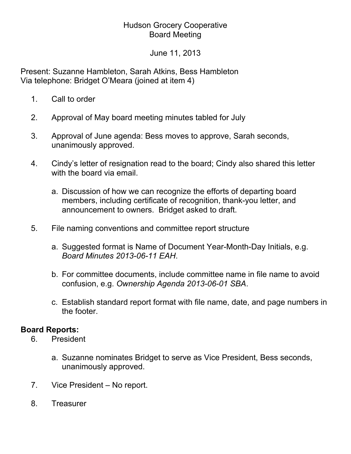## Hudson Grocery Cooperative Board Meeting

June 11, 2013

Present: Suzanne Hambleton, Sarah Atkins, Bess Hambleton Via telephone: Bridget O'Meara (joined at item 4)

- 1. Call to order
- 2. Approval of May board meeting minutes tabled for July
- 3. Approval of June agenda: Bess moves to approve, Sarah seconds, unanimously approved.
- 4. Cindy's letter of resignation read to the board; Cindy also shared this letter with the board via email.
	- a. Discussion of how we can recognize the efforts of departing board members, including certificate of recognition, thank-you letter, and announcement to owners. Bridget asked to draft.
- 5. File naming conventions and committee report structure
	- a. Suggested format is Name of Document Year-Month-Day Initials, e.g. *Board Minutes 2013-06-11 EAH*.
	- b. For committee documents, include committee name in file name to avoid confusion, e.g. *Ownership Agenda 2013-06-01 SBA*.
	- c. Establish standard report format with file name, date, and page numbers in the footer.

## **Board Reports:**

- 6. President
	- a. Suzanne nominates Bridget to serve as Vice President, Bess seconds, unanimously approved.
- 7. Vice President No report.
- 8. Treasurer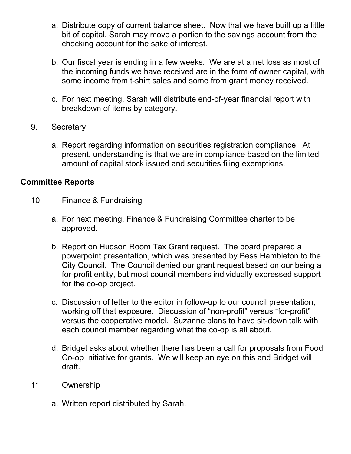- a. Distribute copy of current balance sheet. Now that we have built up a little bit of capital, Sarah may move a portion to the savings account from the checking account for the sake of interest.
- b. Our fiscal year is ending in a few weeks. We are at a net loss as most of the incoming funds we have received are in the form of owner capital, with some income from t-shirt sales and some from grant money received.
- c. For next meeting, Sarah will distribute end-of-year financial report with breakdown of items by category.
- 9. Secretary
	- a. Report regarding information on securities registration compliance. At present, understanding is that we are in compliance based on the limited amount of capital stock issued and securities filing exemptions.

## **Committee Reports**

- 10. Finance & Fundraising
	- a. For next meeting, Finance & Fundraising Committee charter to be approved.
	- b. Report on Hudson Room Tax Grant request. The board prepared a powerpoint presentation, which was presented by Bess Hambleton to the City Council. The Council denied our grant request based on our being a for-profit entity, but most council members individually expressed support for the co-op project.
	- c. Discussion of letter to the editor in follow-up to our council presentation, working off that exposure. Discussion of "non-profit" versus "for-profit" versus the cooperative model. Suzanne plans to have sit-down talk with each council member regarding what the co-op is all about.
	- d. Bridget asks about whether there has been a call for proposals from Food Co-op Initiative for grants. We will keep an eye on this and Bridget will draft.
- 11. Ownership
	- a. Written report distributed by Sarah.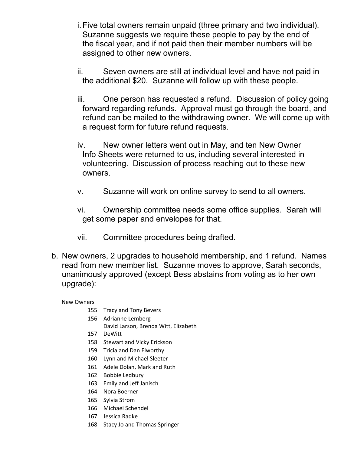- i.Five total owners remain unpaid (three primary and two individual). Suzanne suggests we require these people to pay by the end of the fiscal year, and if not paid then their member numbers will be assigned to other new owners.
- ii. Seven owners are still at individual level and have not paid in the additional \$20. Suzanne will follow up with these people.
- iii. One person has requested a refund. Discussion of policy going forward regarding refunds. Approval must go through the board, and refund can be mailed to the withdrawing owner. We will come up with a request form for future refund requests.
- iv. New owner letters went out in May, and ten New Owner Info Sheets were returned to us, including several interested in volunteering. Discussion of process reaching out to these new owners.
- v. Suzanne will work on online survey to send to all owners.
- vi. Ownership committee needs some office supplies. Sarah will get some paper and envelopes for that.
- vii. Committee procedures being drafted.
- b. New owners, 2 upgrades to household membership, and 1 refund. Names read from new member list. Suzanne moves to approve, Sarah seconds, unanimously approved (except Bess abstains from voting as to her own upgrade):

New Owners

- 155 Tracy and Tony Bevers
- 156 Adrianne Lemberg
	- David Larson, Brenda Witt, Elizabeth
- 157 DeWitt
- 158 Stewart and Vicky Erickson
- 159 Tricia and Dan Elworthy
- 160 Lynn and Michael Sleeter
- 161 Adele Dolan, Mark and Ruth
- 162 Bobbie Ledbury
- 163 Emily and Jeff Janisch
- 164 Nora Boerner
- 165 Sylvia Strom
- 166 Michael Schendel
- 167 Jessica Radke
- 168 Stacy Jo and Thomas Springer